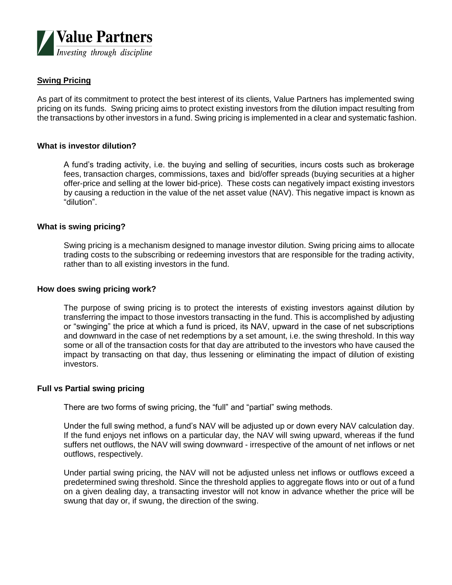

# **Swing Pricing**

As part of its commitment to protect the best interest of its clients, Value Partners has implemented swing pricing on its funds. Swing pricing aims to protect existing investors from the dilution impact resulting from the transactions by other investors in a fund. Swing pricing is implemented in a clear and systematic fashion.

## **What is investor dilution?**

A fund's trading activity, i.e. the buying and selling of securities, incurs costs such as brokerage fees, transaction charges, commissions, taxes and bid/offer spreads (buying securities at a higher offer-price and selling at the lower bid-price). These costs can negatively impact existing investors by causing a reduction in the value of the net asset value (NAV). This negative impact is known as "dilution".

## **What is swing pricing?**

Swing pricing is a mechanism designed to manage investor dilution. Swing pricing aims to allocate trading costs to the subscribing or redeeming investors that are responsible for the trading activity, rather than to all existing investors in the fund.

### **How does swing pricing work?**

The purpose of swing pricing is to protect the interests of existing investors against dilution by transferring the impact to those investors transacting in the fund. This is accomplished by adjusting or "swinging" the price at which a fund is priced, its NAV, upward in the case of net subscriptions and downward in the case of net redemptions by a set amount, i.e. the swing threshold. In this way some or all of the transaction costs for that day are attributed to the investors who have caused the impact by transacting on that day, thus lessening or eliminating the impact of dilution of existing investors.

### **Full vs Partial swing pricing**

There are two forms of swing pricing, the "full" and "partial" swing methods.

Under the full swing method, a fund's NAV will be adjusted up or down every NAV calculation day. If the fund enjoys net inflows on a particular day, the NAV will swing upward, whereas if the fund suffers net outflows, the NAV will swing downward - irrespective of the amount of net inflows or net outflows, respectively.

Under partial swing pricing, the NAV will not be adjusted unless net inflows or outflows exceed a predetermined swing threshold. Since the threshold applies to aggregate flows into or out of a fund on a given dealing day, a transacting investor will not know in advance whether the price will be swung that day or, if swung, the direction of the swing.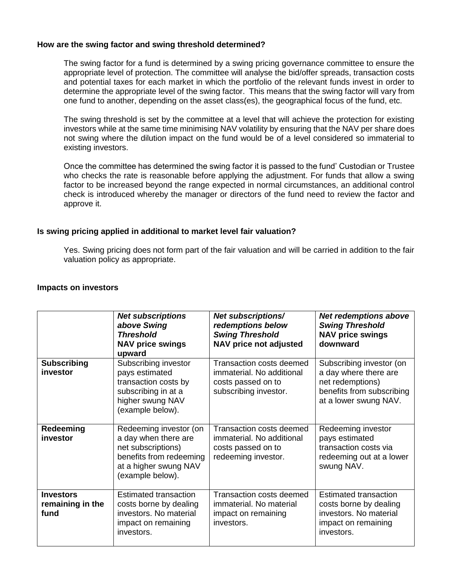# **How are the swing factor and swing threshold determined?**

The swing factor for a fund is determined by a swing pricing governance committee to ensure the appropriate level of protection. The committee will analyse the bid/offer spreads, transaction costs and potential taxes for each market in which the portfolio of the relevant funds invest in order to determine the appropriate level of the swing factor. This means that the swing factor will vary from one fund to another, depending on the asset class(es), the geographical focus of the fund, etc.

The swing threshold is set by the committee at a level that will achieve the protection for existing investors while at the same time minimising NAV volatility by ensuring that the NAV per share does not swing where the dilution impact on the fund would be of a level considered so immaterial to existing investors.

Once the committee has determined the swing factor it is passed to the fund' Custodian or Trustee who checks the rate is reasonable before applying the adjustment. For funds that allow a swing factor to be increased beyond the range expected in normal circumstances, an additional control check is introduced whereby the manager or directors of the fund need to review the factor and approve it.

## **Is swing pricing applied in additional to market level fair valuation?**

Yes. Swing pricing does not form part of the fair valuation and will be carried in addition to the fair valuation policy as appropriate.

#### **Impacts on investors**

|                                              | <b>Net subscriptions</b><br>above Swing<br><b>Threshold</b><br><b>NAV price swings</b><br>upward                                             | Net subscriptions/<br>redemptions below<br><b>Swing Threshold</b><br><b>NAV price not adjusted</b>   | <b>Net redemptions above</b><br><b>Swing Threshold</b><br><b>NAV price swings</b><br>downward                               |
|----------------------------------------------|----------------------------------------------------------------------------------------------------------------------------------------------|------------------------------------------------------------------------------------------------------|-----------------------------------------------------------------------------------------------------------------------------|
| <b>Subscribing</b><br>investor               | Subscribing investor<br>pays estimated<br>transaction costs by<br>subscribing in at a<br>higher swung NAV<br>(example below).                | Transaction costs deemed<br>immaterial. No additional<br>costs passed on to<br>subscribing investor. | Subscribing investor (on<br>a day where there are<br>net redemptions)<br>benefits from subscribing<br>at a lower swung NAV. |
| Redeeming<br>investor                        | Redeeming investor (on<br>a day when there are<br>net subscriptions)<br>benefits from redeeming<br>at a higher swung NAV<br>(example below). | Transaction costs deemed<br>immaterial. No additional<br>costs passed on to<br>redeeming investor.   | Redeeming investor<br>pays estimated<br>transaction costs via<br>redeeming out at a lower<br>swung NAV.                     |
| <b>Investors</b><br>remaining in the<br>fund | <b>Estimated transaction</b><br>costs borne by dealing<br>investors. No material<br>impact on remaining<br>investors.                        | Transaction costs deemed<br>immaterial. No material<br>impact on remaining<br>investors.             | Estimated transaction<br>costs borne by dealing<br>investors. No material<br>impact on remaining<br>investors.              |